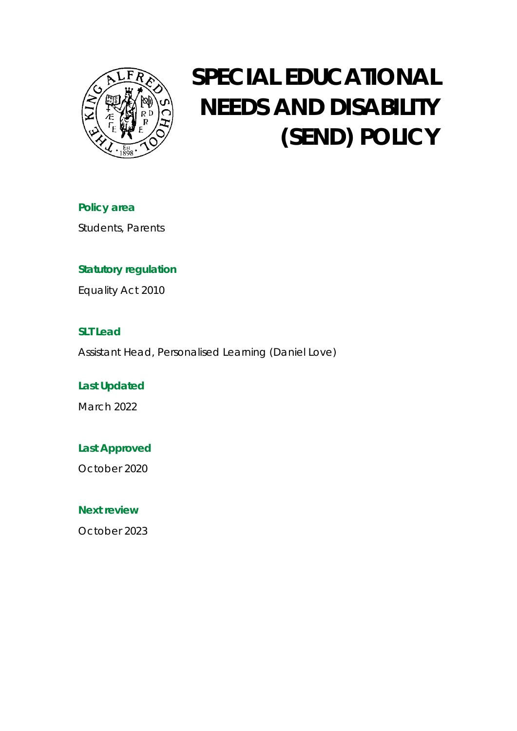

# **SPECIAL EDUCATIONAL NEEDS AND DISABILITY (SEND) POLICY**

**Policy area** Students, Parents

# **Statutory regulation**

Equality Act 2010

# **SLT Lead**

Assistant Head, Personalised Learning (Daniel Love)

**Last Updated** March 2022

**Last Approved**

October 2020

**Next review**

October 2023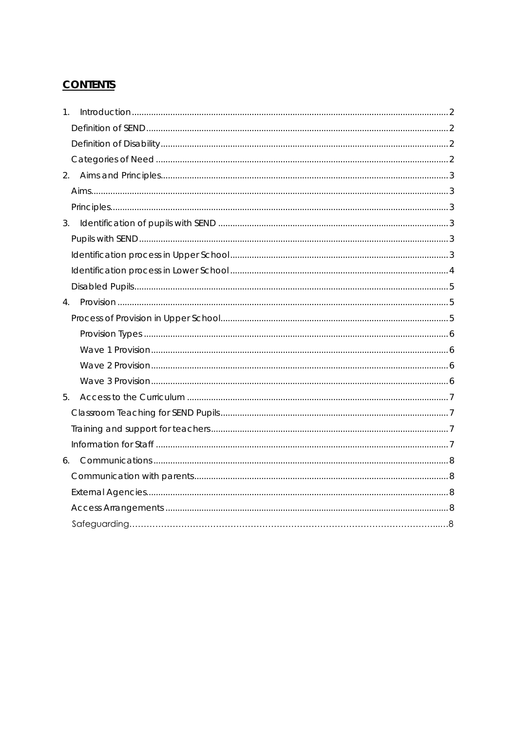# **CONTENTS**

| $1_{-}$ |  |
|---------|--|
|         |  |
|         |  |
|         |  |
| 2.      |  |
|         |  |
|         |  |
| 3.      |  |
|         |  |
|         |  |
|         |  |
|         |  |
| 4.      |  |
|         |  |
|         |  |
|         |  |
|         |  |
|         |  |
| 5.      |  |
|         |  |
|         |  |
|         |  |
|         |  |
|         |  |
|         |  |
|         |  |
|         |  |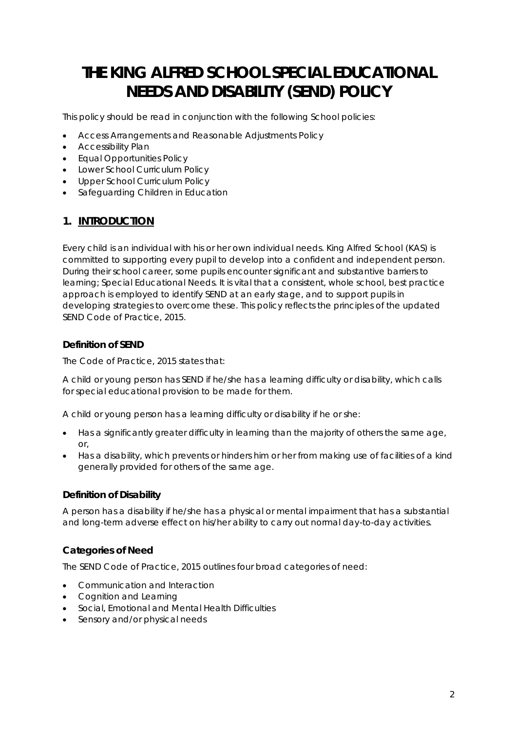# **THE KING ALFRED SCHOOL SPECIAL EDUCATIONAL NEEDS AND DISABILITY (SEND) POLICY**

This policy should be read in conjunction with the following School policies:

- Access Arrangements and Reasonable Adjustments Policy
- Accessibility Plan
- Equal Opportunities Policy
- Lower School Curriculum Policy
- Upper School Curriculum Policy
- Safeguarding Children in Education

## <span id="page-2-0"></span>**1. INTRODUCTION**

Every child is an individual with his or her own individual needs. King Alfred School (KAS) is committed to supporting every pupil to develop into a confident and independent person. During their school career, some pupils encounter significant and substantive barriers to learning; Special Educational Needs. It is vital that a consistent, whole school, best practice approach is employed to identify SEND at an early stage, and to support pupils in developing strategies to overcome these. This policy reflects the principles of the updated SEND Code of Practice, 2015.

#### <span id="page-2-1"></span>**Definition of SEND**

The Code of Practice, 2015 states that:

*A child or young person has SEND if he/she has a learning difficulty or disability, which calls for special educational provision to be made for them.*

*A child or young person has a learning difficulty or disability if he or she:*

- *Has a significantly greater difficulty in learning than the majority of others the same age, or,*
- *Has a disability, which prevents or hinders him or her from making use of facilities of a kind generally provided for others of the same age.*

#### <span id="page-2-2"></span>**Definition of Disability**

A person has a disability if he/she has a physical or mental impairment that has a substantial and long-term adverse effect on his/her ability to carry out normal day-to-day activities.

#### <span id="page-2-3"></span>**Categories of Need**

The SEND Code of Practice, 2015 outlines four broad categories of need:

- Communication and Interaction
- Cognition and Learning
- Social, Emotional and Mental Health Difficulties
- Sensory and/or physical needs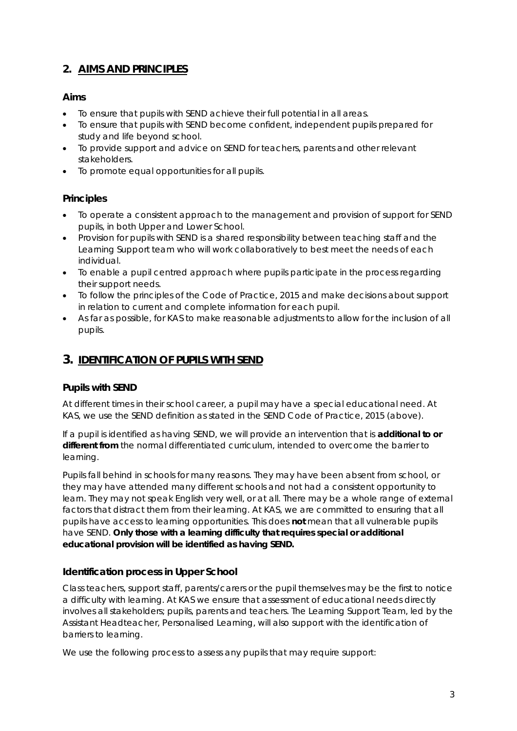# <span id="page-3-0"></span>**2. AIMS AND PRINCIPLES**

#### <span id="page-3-1"></span>**Aims**

- To ensure that pupils with SEND achieve their full potential in all areas.
- To ensure that pupils with SEND become confident, independent pupils prepared for study and life beyond school.
- To provide support and advice on SEND for teachers, parents and other relevant stakeholders.
- To promote equal opportunities for all pupils.

#### <span id="page-3-2"></span>**Principles**

- To operate a consistent approach to the management and provision of support for SEND pupils, in both Upper and Lower School.
- Provision for pupils with SEND is a shared responsibility between teaching staff and the Learning Support team who will work collaboratively to best meet the needs of each individual.
- To enable a pupil centred approach where pupils participate in the process regarding their support needs.
- To follow the principles of the Code of Practice, 2015 and make decisions about support in relation to current and complete information for each pupil.
- As far as possible, for KAS to make reasonable adjustments to allow for the inclusion of all pupils.

### <span id="page-3-3"></span>**3. IDENTIFICATION OF PUPILS WITH SEND**

#### <span id="page-3-4"></span>**Pupils with SEND**

At different times in their school career, a pupil may have a special educational need. At KAS, we use the SEND definition as stated in the SEND Code of Practice, 2015 (above).

If a pupil is identified as having SEND, we will provide an intervention that is **additional to or different from** the normal differentiated curriculum, intended to overcome the barrier to learning.

Pupils fall behind in schools for many reasons. They may have been absent from school, or they may have attended many different schools and not had a consistent opportunity to learn. They may not speak English very well, or at all. There may be a whole range of external factors that distract them from their learning. At KAS, we are committed to ensuring that all pupils have access to learning opportunities. This does **not** mean that all vulnerable pupils have SEND. **Only those with a learning difficulty that requires special or additional educational provision will be identified as having SEND.**

#### <span id="page-3-5"></span>**Identification process in Upper School**

Class teachers, support staff, parents/carers or the pupil themselves may be the first to notice a difficulty with learning. At KAS we ensure that assessment of educational needs directly involves all stakeholders; pupils, parents and teachers. The Learning Support Team, led by the Assistant Headteacher, Personalised Learning, will also support with the identification of barriers to learning.

We use the following process to assess any pupils that may require support: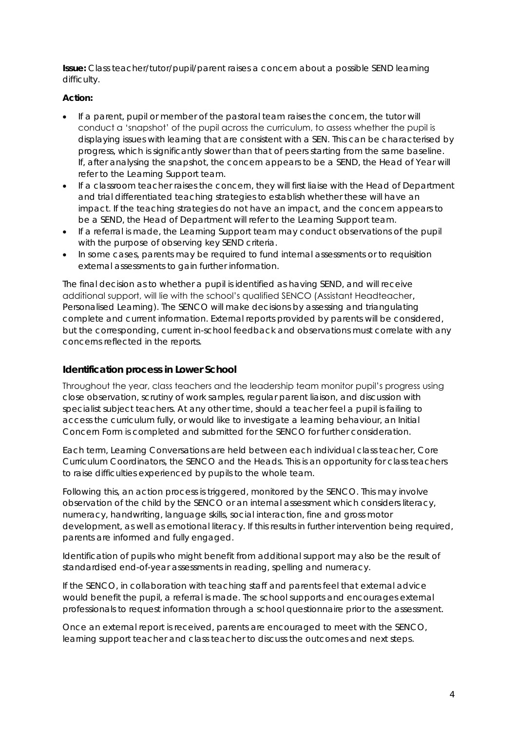*Issue:* Class teacher/tutor/pupil/parent raises a concern about a possible SEND learning difficulty.

#### *Action:*

- If a parent, pupil or member of the pastoral team raises the concern, the tutor will conduct a 'snapshot' of the pupil across the curriculum, to assess whether the pupil is displaying issues with learning that are consistent with a SEN. This can be characterised by progress, which is significantly slower than that of peers starting from the same baseline. If, after analysing the snapshot, the concern appears to be a SEND, the Head of Year will refer to the Learning Support team.
- If a classroom teacher raises the concern, they will first liaise with the Head of Department and trial differentiated teaching strategies to establish whether these will have an impact. If the teaching strategies do not have an impact, and the concern appears to be a SEND, the Head of Department will refer to the Learning Support team.
- If a referral is made, the Learning Support team may conduct observations of the pupil with the purpose of observing key SEND criteria.
- In some cases, parents may be required to fund internal assessments or to requisition external assessments to gain further information.

The final decision as to whether a pupil is identified as having SEND, and will receive additional support, will lie with the school's qualified SENCO (Assistant Headteacher, Personalised Learning). The SENCO will make decisions by assessing and triangulating complete and current information. External reports provided by parents will be considered, but the corresponding, current in-school feedback and observations must correlate with any concerns reflected in the reports.

#### <span id="page-4-0"></span>**Identification process in Lower School**

Throughout the year, class teachers and the leadership team monitor pupil's progress using close observation, scrutiny of work samples, regular parent liaison, and discussion with specialist subject teachers. At any other time, should a teacher feel a pupil is failing to access the curriculum fully, or would like to investigate a learning behaviour, an Initial Concern Form is completed and submitted for the SENCO for further consideration.

Each term, Learning Conversations are held between each individual class teacher, Core Curriculum Coordinators, the SENCO and the Heads. This is an opportunity for class teachers to raise difficulties experienced by pupils to the whole team.

Following this, an action process is triggered, monitored by the SENCO. This may involve observation of the child by the SENCO or an internal assessment which considers literacy, numeracy, handwriting, language skills, social interaction, fine and gross motor development, as well as emotional literacy. If this results in further intervention being required, parents are informed and fully engaged.

Identification of pupils who might benefit from additional support may also be the result of standardised end-of-year assessments in reading, spelling and numeracy.

If the SENCO, in collaboration with teaching staff and parents feel that external advice would benefit the pupil, a referral is made. The school supports and encourages external professionals to request information through a school questionnaire prior to the assessment.

Once an external report is received, parents are encouraged to meet with the SENCO, learning support teacher and class teacher to discuss the outcomes and next steps.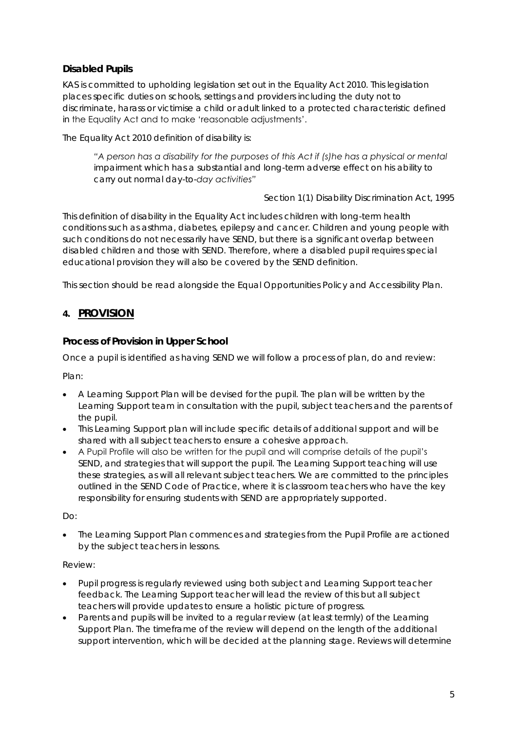#### <span id="page-5-0"></span>**Disabled Pupils**

KAS is committed to upholding legislation set out in the Equality Act 2010. This legislation places specific duties on schools, settings and providers including the duty not to discriminate, harass or victimise a child or adult linked to a protected characteristic defined in the Equality Act and to make 'reasonable adjustments'.

The Equality Act 2010 definition of disability is:

*"A person has a disability for the purposes of this Act if (s)he has a physical or mental impairment which has a substantial and long-term adverse effect on his ability to carry out normal day-to-day activities"* 

Section 1(1) Disability Discrimination Act, 1995

This definition of disability in the Equality Act includes children with long-term health conditions such as asthma, diabetes, epilepsy and cancer. Children and young people with such conditions do not necessarily have SEND, but there is a significant overlap between disabled children and those with SEND. Therefore, where a disabled pupil requires special educational provision they will also be covered by the SEND definition.

This section should be read alongside the Equal Opportunities Policy and Accessibility Plan.

#### <span id="page-5-1"></span>**4. PROVISION**

<span id="page-5-2"></span>**Process of Provision in Upper School**

Once a pupil is identified as having SEND we will follow a process of plan, do and review:

Plan:

- A Learning Support Plan will be devised for the pupil. The plan will be written by the Learning Support team in consultation with the pupil, subject teachers and the parents of the pupil.
- This Learning Support plan will include specific details of additional support and will be shared with all subject teachers to ensure a cohesive approach.
- A Pupil Profile will also be written for the pupil and will comprise details of the pupil's SEND, and strategies that will support the pupil. The Learning Support teaching will use these strategies, as will all relevant subject teachers. We are committed to the principles outlined in the SEND Code of Practice, where it is classroom teachers who have the key responsibility for ensuring students with SEND are appropriately supported.

Do:

• The Learning Support Plan commences and strategies from the Pupil Profile are actioned by the subject teachers in lessons.

#### Review:

- Pupil progress is regularly reviewed using both subject and Learning Support teacher feedback. The Learning Support teacher will lead the review of this but all subject teachers will provide updates to ensure a holistic picture of progress.
- Parents and pupils will be invited to a regular review (at least termly) of the Learning Support Plan. The timeframe of the review will depend on the length of the additional support intervention, which will be decided at the planning stage. Reviews will determine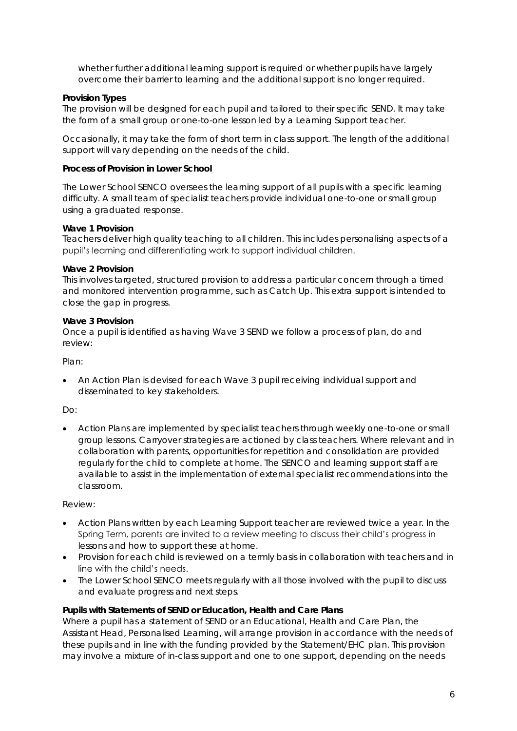whether further additional learning support is required or whether pupils have largely overcome their barrier to learning and the additional support is no longer required.

#### <span id="page-6-0"></span>*Provision Types*

The provision will be designed for each pupil and tailored to their specific SEND. It may take the form of a small group or one-to-one lesson led by a Learning Support teacher.

Occasionally, it may take the form of short term in class support. The length of the additional support will vary depending on the needs of the child.

#### **Process of Provision in Lower School**

The Lower School SENCO oversees the learning support of all pupils with a specific learning difficulty. A small team of specialist teachers provide individual one-to-one or small group using a graduated response.

#### <span id="page-6-1"></span>*Wave 1 Provision*

Teachers deliver high quality teaching to all children. This includes personalising aspects of a pupil's learning and differentiating work to support individual children.

#### <span id="page-6-2"></span>*Wave 2 Provision*

This involves targeted, structured provision to address a particular concern through a timed and monitored intervention programme, such as Catch Up. This extra support is intended to close the gap in progress.

#### <span id="page-6-3"></span>*Wave 3 Provision*

Once a pupil is identified as having Wave 3 SEND we follow a process of plan, do and review:

Plan:

• An Action Plan is devised for each Wave 3 pupil receiving individual support and disseminated to key stakeholders.

#### Do:

• Action Plans are implemented by specialist teachers through weekly one-to-one or small group lessons. Carryover strategies are actioned by class teachers. Where relevant and in collaboration with parents, opportunities for repetition and consolidation are provided regularly for the child to complete at home. The SENCO and learning support staff are available to assist in the implementation of external specialist recommendations into the classroom.

#### Review:

- Action Plans written by each Learning Support teacher are reviewed twice a year. In the Spring Term, parents are invited to a review meeting to discuss their child's progress in lessons and how to support these at home.
- Provision for each child is reviewed on a termly basis in collaboration with teachers and in line with the child's needs.
- The Lower School SENCO meets regularly with all those involved with the pupil to discuss and evaluate progress and next steps.

**Pupils with Statements of SEND or Education, Health and Care Plans** Where a pupil has a statement of SEND or an Educational, Health and Care Plan, the Assistant Head, Personalised Learning, will arrange provision in accordance with the needs of these pupils and in line with the funding provided by the Statement/EHC plan. This provision may involve a mixture of in-class support and one to one support, depending on the needs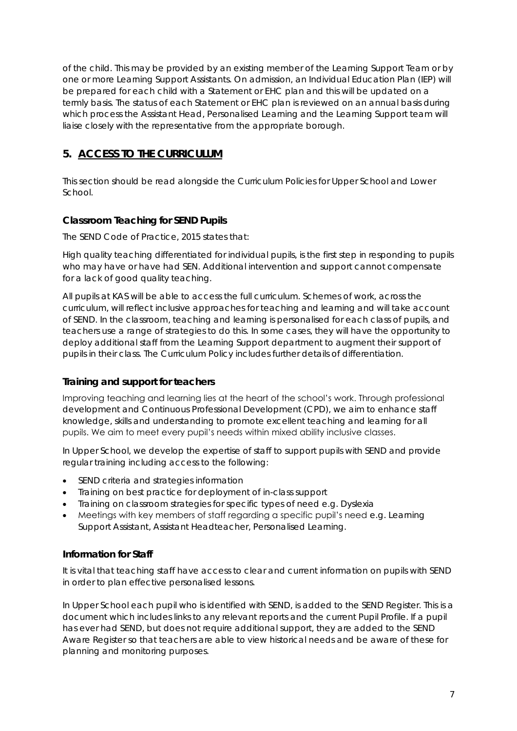of the child. This may be provided by an existing member of the Learning Support Team or by one or more Learning Support Assistants. On admission, an Individual Education Plan (IEP) will be prepared for each child with a Statement or EHC plan and this will be updated on a termly basis. The status of each Statement or EHC plan is reviewed on an annual basis during which process the Assistant Head, Personalised Learning and the Learning Support team will liaise closely with the representative from the appropriate borough.

# <span id="page-7-0"></span>**5. ACCESS TO THE CURRICULUM**

This section should be read alongside the Curriculum Policies for Upper School and Lower School.

#### <span id="page-7-1"></span>**Classroom Teaching for SEND Pupils**

The SEND Code of Practice, 2015 states that:

*High quality teaching differentiated for individual pupils, is the first step in responding to pupils who may have or have had SEN. Additional intervention and support cannot compensate for a lack of good quality teaching.*

All pupils at KAS will be able to access the full curriculum. Schemes of work, across the curriculum, will reflect inclusive approaches for teaching and learning and will take account of SEND. In the classroom, teaching and learning is personalised for each class of pupils, and teachers use a range of strategies to do this. In some cases, they will have the opportunity to deploy additional staff from the Learning Support department to augment their support of pupils in their class. The Curriculum Policy includes further details of differentiation.

#### <span id="page-7-2"></span>**Training and support for teachers**

Improving teaching and learning lies at the heart of the school's work. Through professional development and Continuous Professional Development (CPD), we aim to enhance staff knowledge, skills and understanding to promote excellent teaching and learning for all pupils. We aim to meet every pupil's needs within mixed ability inclusive classes.

In Upper School, we develop the expertise of staff to support pupils with SEND and provide regular training including access to the following:

- SEND criteria and strategies information
- Training on best practice for deployment of in-class support
- Training on classroom strategies for specific types of need e.g. Dyslexia
- Meetings with key members of staff regarding a specific pupil's need e.g. Learning Support Assistant, Assistant Headteacher, Personalised Learning.

#### <span id="page-7-3"></span>**Information for Staff**

It is vital that teaching staff have access to clear and current information on pupils with SEND in order to plan effective personalised lessons.

In Upper School each pupil who is identified with SEND, is added to the SEND Register. This is a document which includes links to any relevant reports and the current Pupil Profile. If a pupil has ever had SEND, but does not require additional support, they are added to the SEND Aware Register so that teachers are able to view historical needs and be aware of these for planning and monitoring purposes.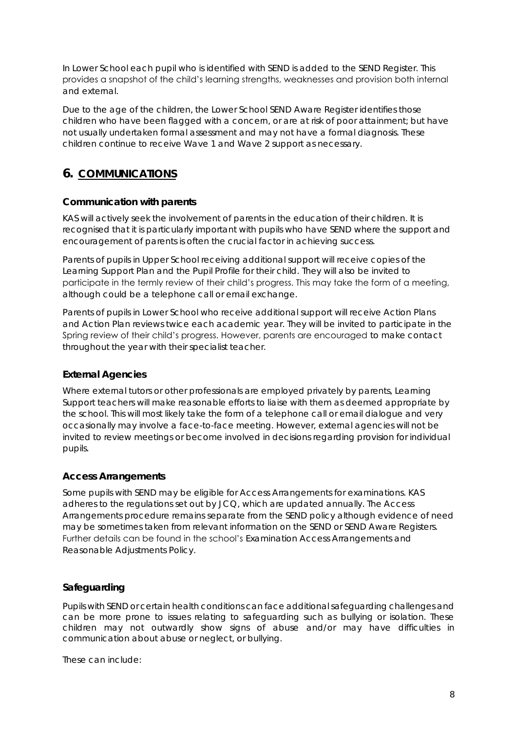In Lower School each pupil who is identified with SEND is added to the SEND Register. This provides a snapshot of the child's learning strengths, weaknesses and provision both internal and external.

Due to the age of the children, the Lower School SEND Aware Register identifies those children who have been flagged with a concern, or are at risk of poor attainment; but have not usually undertaken formal assessment and may not have a formal diagnosis. These children continue to receive Wave 1 and Wave 2 support as necessary.

# <span id="page-8-0"></span>**6. COMMUNICATIONS**

#### <span id="page-8-1"></span>**Communication with parents**

KAS will actively seek the involvement of parents in the education of their children. It is recognised that it is particularly important with pupils who have SEND where the support and encouragement of parents is often the crucial factor in achieving success.

Parents of pupils in Upper School receiving additional support will receive copies of the Learning Support Plan and the Pupil Profile for their child. They will also be invited to participate in the termly review of their child's progress. This may take the form of a meeting, although could be a telephone call or email exchange.

Parents of pupils in Lower School who receive additional support will receive Action Plans and Action Plan reviews twice each academic year. They will be invited to participate in the Spring review of their child's progress. However, parents are encouraged to make contact throughout the year with their specialist teacher.

#### <span id="page-8-2"></span>**External Agencies**

Where external tutors or other professionals are employed privately by parents, Learning Support teachers will make reasonable efforts to liaise with them as deemed appropriate by the school. This will most likely take the form of a telephone call or email dialogue and very occasionally may involve a face-to-face meeting. However, external agencies will not be invited to review meetings or become involved in decisions regarding provision for individual pupils.

#### <span id="page-8-3"></span>**Access Arrangements**

Some pupils with SEND may be eligible for Access Arrangements for examinations. KAS adheres to the regulations set out by JCQ, which are updated annually. The Access Arrangements procedure remains separate from the SEND policy although evidence of need may be sometimes taken from relevant information on the SEND or SEND Aware Registers. Further details can be found in the school's Examination Access Arrangements and Reasonable Adjustments Policy.

#### **Safeguarding**

Pupils with SEND or certain health conditions can face additional safeguarding challenges and can be more prone to issues relating to safeguarding such as bullying or isolation. These children may not outwardly show signs of abuse and/or may have difficulties in communication about abuse or neglect, or bullying.

These can include: